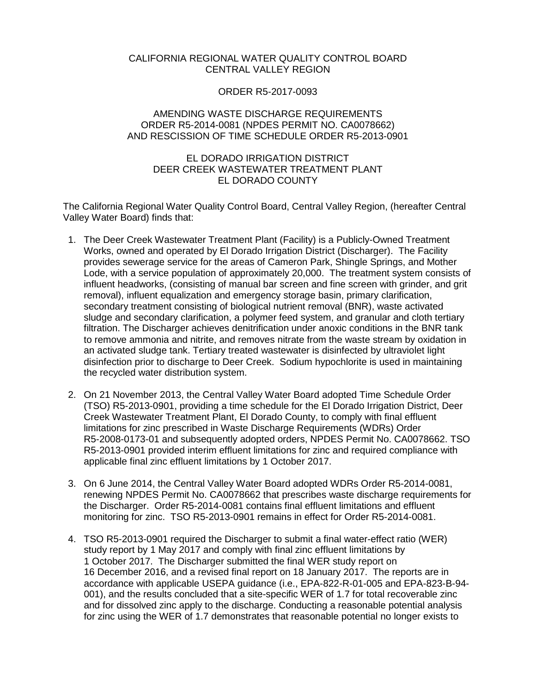# CALIFORNIA REGIONAL WATER QUALITY CONTROL BOARD CENTRAL VALLEY REGION

# ORDER R5-2017-0093

#### AMENDING WASTE DISCHARGE REQUIREMENTS ORDER R5-2014-0081 (NPDES PERMIT NO. CA0078662) AND RESCISSION OF TIME SCHEDULE ORDER R5-2013-0901

# EL DORADO IRRIGATION DISTRICT DEER CREEK WASTEWATER TREATMENT PLANT EL DORADO COUNTY

The California Regional Water Quality Control Board, Central Valley Region, (hereafter Central Valley Water Board) finds that:

- 1. The Deer Creek Wastewater Treatment Plant (Facility) is a Publicly-Owned Treatment Works, owned and operated by El Dorado Irrigation District (Discharger). The Facility provides sewerage service for the areas of Cameron Park, Shingle Springs, and Mother Lode, with a service population of approximately 20,000. The treatment system consists of influent headworks, (consisting of manual bar screen and fine screen with grinder, and grit removal), influent equalization and emergency storage basin, primary clarification, secondary treatment consisting of biological nutrient removal (BNR), waste activated sludge and secondary clarification, a polymer feed system, and granular and cloth tertiary filtration. The Discharger achieves denitrification under anoxic conditions in the BNR tank to remove ammonia and nitrite, and removes nitrate from the waste stream by oxidation in an activated sludge tank. Tertiary treated wastewater is disinfected by ultraviolet light disinfection prior to discharge to Deer Creek. Sodium hypochlorite is used in maintaining the recycled water distribution system.
- 2. On 21 November 2013, the Central Valley Water Board adopted Time Schedule Order (TSO) R5-2013-0901, providing a time schedule for the El Dorado Irrigation District, Deer Creek Wastewater Treatment Plant, El Dorado County, to comply with final effluent limitations for zinc prescribed in Waste Discharge Requirements (WDRs) Order R5-2008-0173-01 and subsequently adopted orders, NPDES Permit No. CA0078662. TSO R5-2013-0901 provided interim effluent limitations for zinc and required compliance with applicable final zinc effluent limitations by 1 October 2017.
- 3. On 6 June 2014, the Central Valley Water Board adopted WDRs Order R5-2014-0081, renewing NPDES Permit No. CA0078662 that prescribes waste discharge requirements for the Discharger. Order R5-2014-0081 contains final effluent limitations and effluent monitoring for zinc. TSO R5-2013-0901 remains in effect for Order R5-2014-0081.
- 4. TSO R5-2013-0901 required the Discharger to submit a final water-effect ratio (WER) study report by 1 May 2017 and comply with final zinc effluent limitations by 1 October 2017. The Discharger submitted the final WER study report on 16 December 2016, and a revised final report on 18 January 2017. The reports are in accordance with applicable USEPA guidance (i.e., EPA-822-R-01-005 and EPA-823-B-94- 001), and the results concluded that a site-specific WER of 1.7 for total recoverable zinc and for dissolved zinc apply to the discharge. Conducting a reasonable potential analysis for zinc using the WER of 1.7 demonstrates that reasonable potential no longer exists to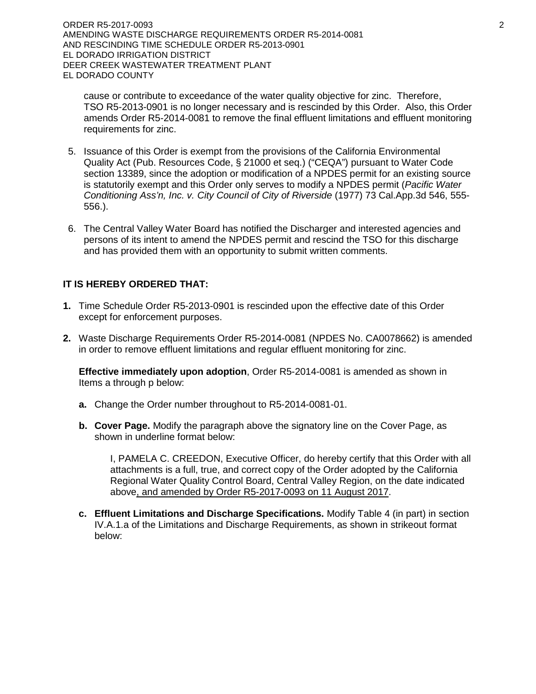cause or contribute to exceedance of the water quality objective for zinc. Therefore, TSO R5-2013-0901 is no longer necessary and is rescinded by this Order. Also, this Order amends Order R5-2014-0081 to remove the final effluent limitations and effluent monitoring requirements for zinc.

- 5. Issuance of this Order is exempt from the provisions of the California Environmental Quality Act (Pub. Resources Code, § 21000 et seq.) ("CEQA") pursuant to Water Code section 13389, since the adoption or modification of a NPDES permit for an existing source is statutorily exempt and this Order only serves to modify a NPDES permit (*Pacific Water Conditioning Ass'n, Inc. v. City Council of City of Riverside* (1977) 73 Cal.App.3d 546, 555- 556.).
- 6. The Central Valley Water Board has notified the Discharger and interested agencies and persons of its intent to amend the NPDES permit and rescind the TSO for this discharge and has provided them with an opportunity to submit written comments.

# **IT IS HEREBY ORDERED THAT:**

- **1.** Time Schedule Order R5-2013-0901 is rescinded upon the effective date of this Order except for enforcement purposes.
- **2.** Waste Discharge Requirements Order R5-2014-0081 (NPDES No. CA0078662) is amended in order to remove effluent limitations and regular effluent monitoring for zinc.

**Effective immediately upon adoption**, Order R5-2014-0081 is amended as shown in Items a through p below:

- **a.** Change the Order number throughout to R5-2014-0081-01.
- **b. Cover Page.** Modify the paragraph above the signatory line on the Cover Page, as shown in underline format below:

I, PAMELA C. CREEDON, Executive Officer, do hereby certify that this Order with all attachments is a full, true, and correct copy of the Order adopted by the California Regional Water Quality Control Board, Central Valley Region, on the date indicated above, and amended by Order R5-2017-0093 on 11 August 2017.

**c. Effluent Limitations and Discharge Specifications.** Modify Table 4 (in part) in section IV.A.1.a of the Limitations and Discharge Requirements, as shown in strikeout format below: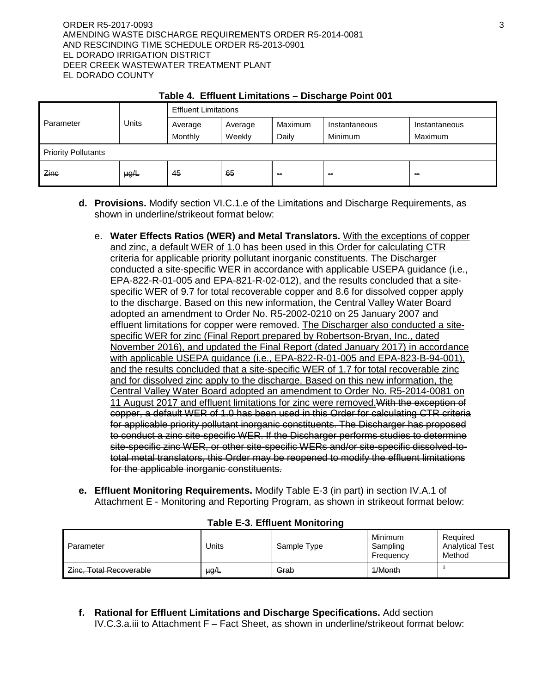#### ORDER R5-2017-0093 3 AMENDING WASTE DISCHARGE REQUIREMENTS ORDER R5-2014-0081 AND RESCINDING TIME SCHEDULE ORDER R5-2013-0901 EL DORADO IRRIGATION DISTRICT DEER CREEK WASTEWATER TREATMENT PLANT EL DORADO COUNTY

| Parameter                  | <b>Units</b> | <b>Effluent Limitations</b> |         |               |               |               |  |
|----------------------------|--------------|-----------------------------|---------|---------------|---------------|---------------|--|
|                            |              | Average                     | Average | Maximum       | Instantaneous | Instantaneous |  |
|                            |              | Monthly                     | Weekly  | Daily         | Minimum       | Maximum       |  |
| <b>Priority Pollutants</b> |              |                             |         |               |               |               |  |
| Zinc                       | $\mu g/L$    | 45                          | 65      | <b>ALC: Y</b> | $\sim$        | $\sim$        |  |

# **Table 4. Effluent Limitations – Discharge Point 001**

- **d. Provisions.** Modify section VI.C.1.e of the Limitations and Discharge Requirements, as shown in underline/strikeout format below:
	- e. **Water Effects Ratios (WER) and Metal Translators.** With the exceptions of copper and zinc, a default WER of 1.0 has been used in this Order for calculating CTR criteria for applicable priority pollutant inorganic constituents. The Discharger conducted a site-specific WER in accordance with applicable USEPA guidance (i.e., EPA-822-R-01-005 and EPA-821-R-02-012), and the results concluded that a sitespecific WER of 9.7 for total recoverable copper and 8.6 for dissolved copper apply to the discharge. Based on this new information, the Central Valley Water Board adopted an amendment to Order No. R5-2002-0210 on 25 January 2007 and effluent limitations for copper were removed. The Discharger also conducted a sitespecific WER for zinc (Final Report prepared by Robertson-Bryan, Inc., dated November 2016), and updated the Final Report (dated January 2017) in accordance with applicable USEPA guidance (i.e., EPA-822-R-01-005 and EPA-823-B-94-001), and the results concluded that a site-specific WER of 1.7 for total recoverable zinc and for dissolved zinc apply to the discharge. Based on this new information, the Central Valley Water Board adopted an amendment to Order No. R5-2014-0081 on 11 August 2017 and effluent limitations for zinc were removed. With the exception of copper, a default WER of 1.0 has been used in this Order for calculating CTR criteria for applicable priority pollutant inorganic constituents. The Discharger has proposed to conduct a zinc site-specific WER. If the Discharger performs studies to determine site-specific zinc WER, or other site-specific WERs and/or site-specific dissolved-tototal metal translators, this Order may be reopened to modify the effluent limitations for the applicable inorganic constituents.
- **e. Effluent Monitoring Requirements.** Modify Table E-3 (in part) in section IV.A.1 of Attachment E - Monitoring and Reporting Program, as shown in strikeout format below:

| Parameter                                                    | <b>Jnits</b> | Sample Type | <b>Minimum</b><br>Sampling<br>Frequency | Required<br><b>Analytical Test</b><br>Method |
|--------------------------------------------------------------|--------------|-------------|-----------------------------------------|----------------------------------------------|
| Zinc, Total Recoverable<br><del>Linu, Tulai NUUVUIdUIU</del> | $\mu g/L$    | Grab        | $1/M$ onth<br><del>17171011111</del>    |                                              |

#### **Table E-3. Effluent Monitoring**

**f. Rational for Effluent Limitations and Discharge Specifications.** Add section IV.C.3.a.iii to Attachment F – Fact Sheet, as shown in underline/strikeout format below: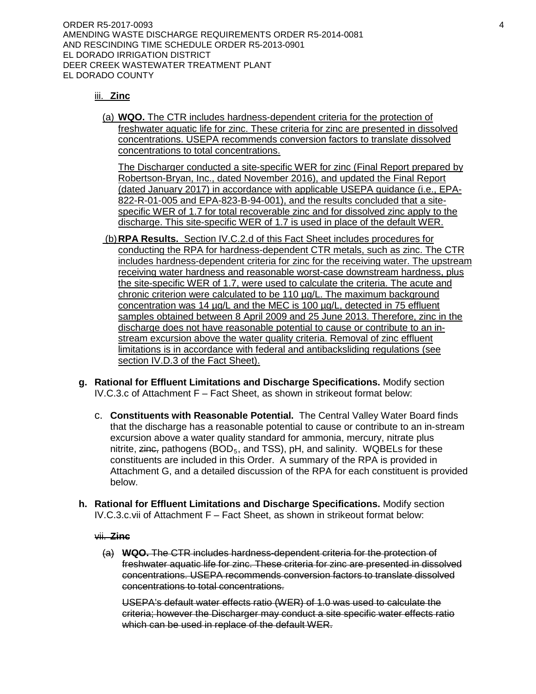ORDER R5-2017-0093 4 AMENDING WASTE DISCHARGE REQUIREMENTS ORDER R5-2014-0081 AND RESCINDING TIME SCHEDULE ORDER R5-2013-0901 EL DORADO IRRIGATION DISTRICT DEER CREEK WASTEWATER TREATMENT PLANT EL DORADO COUNTY

# iii. **Zinc**

(a) **WQO.** The CTR includes hardness-dependent criteria for the protection of freshwater aquatic life for zinc. These criteria for zinc are presented in dissolved concentrations. USEPA recommends conversion factors to translate dissolved concentrations to total concentrations.

The Discharger conducted a site-specific WER for zinc (Final Report prepared by Robertson-Bryan, Inc., dated November 2016), and updated the Final Report (dated January 2017) in accordance with applicable USEPA guidance (i.e., EPA-822-R-01-005 and EPA-823-B-94-001), and the results concluded that a sitespecific WER of 1.7 for total recoverable zinc and for dissolved zinc apply to the discharge. This site-specific WER of 1.7 is used in place of the default WER.

- (b)**RPA Results.** Section IV.C.2.d of this Fact Sheet includes procedures for conducting the RPA for hardness-dependent CTR metals, such as zinc. The CTR includes hardness-dependent criteria for zinc for the receiving water. The upstream receiving water hardness and reasonable worst-case downstream hardness, plus the site-specific WER of 1.7, were used to calculate the criteria. The acute and chronic criterion were calculated to be 110 µg/L. The maximum background concentration was 14 µg/L and the MEC is 100 µg/L, detected in 75 effluent samples obtained between 8 April 2009 and 25 June 2013. Therefore, zinc in the discharge does not have reasonable potential to cause or contribute to an instream excursion above the water quality criteria. Removal of zinc effluent limitations is in accordance with federal and antibacksliding regulations (see section IV.D.3 of the Fact Sheet).
- **g. Rational for Effluent Limitations and Discharge Specifications.** Modify section IV.C.3.c of Attachment F – Fact Sheet, as shown in strikeout format below:
	- c. **Constituents with Reasonable Potential.** The Central Valley Water Board finds that the discharge has a reasonable potential to cause or contribute to an in-stream excursion above a water quality standard for ammonia, mercury, nitrate plus nitrite,  $\overline{z}$ ing, pathogens (BOD<sub>5</sub>, and TSS), pH, and salinity. WQBELs for these constituents are included in this Order. A summary of the RPA is provided in Attachment G, and a detailed discussion of the RPA for each constituent is provided below.
- **h. Rational for Effluent Limitations and Discharge Specifications.** Modify section IV.C.3.c.vii of Attachment F – Fact Sheet, as shown in strikeout format below:

#### vii. **Zinc**

(a) **WQO.** The CTR includes hardness-dependent criteria for the protection of freshwater aquatic life for zinc. These criteria for zinc are presented in dissolved concentrations. USEPA recommends conversion factors to translate dissolved concentrations to total concentrations.

USEPA's default water effects ratio (WER) of 1.0 was used to calculate the criteria; however the Discharger may conduct a site specific water effects ratio which can be used in replace of the default WER.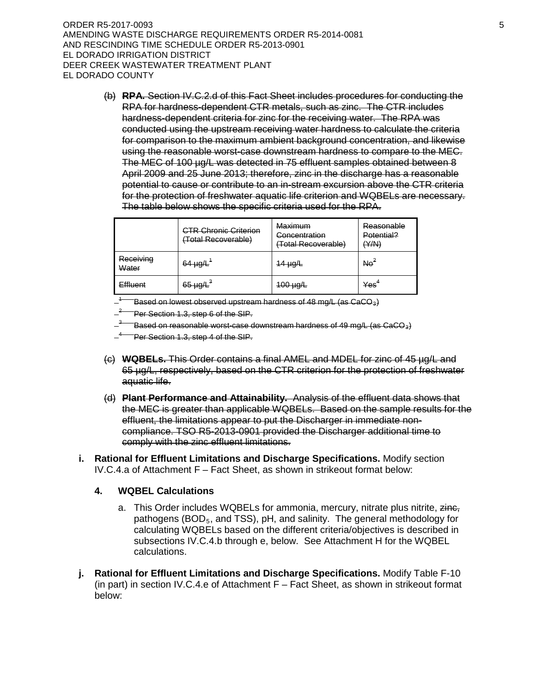ORDER R5-2017-0093 5 AMENDING WASTE DISCHARGE REQUIREMENTS ORDER R5-2014-0081 AND RESCINDING TIME SCHEDULE ORDER R5-2013-0901 EL DORADO IRRIGATION DISTRICT DEER CREEK WASTEWATER TREATMENT PLANT EL DORADO COUNTY

(b) **RPA.** Section IV.C.2.d of this Fact Sheet includes procedures for conducting the RPA for hardness-dependent CTR metals, such as zinc. The CTR includes hardness-dependent criteria for zinc for the receiving water. The RPA was conducted using the upstream receiving water hardness to calculate the criteria for comparison to the maximum ambient background concentration, and likewise using the reasonable worst-case downstream hardness to compare to the MEC. The MEC of 100 µg/L was detected in 75 effluent samples obtained between 8 April 2009 and 25 June 2013; therefore, zinc in the discharge has a reasonable potential to cause or contribute to an in-stream excursion above the CTR criteria for the protection of freshwater aquatic life criterion and WQBELs are necessary. The table below shows the specific criteria used for the RPA.

|                    | <b>CTR Chronic Criterion</b><br>(Total Recoverable) | Maximum<br>Concentration<br>(Total Recoverable) | Reasonable<br>Potential?<br>(Y/N) |
|--------------------|-----------------------------------------------------|-------------------------------------------------|-----------------------------------|
| Receiving<br>Water | $64 \mu g/L^4$                                      | $14 \mu g/L$                                    | Ne <sup>2</sup>                   |
| <b>Effluent</b>    | $65 \mu g/L^3$                                      | $100 \mu g/L$                                   | $\mathsf{Yes}^4$                  |

 $^{-1}$   $-$  Based on lowest observed upstream hardness of 48 mg/L (as CaCO<sub>3</sub>).<br>—<sup>2</sup> Per Section 1.3, step 6 of the SIP.

 $-^\mathrm{3}$   $-$  Based on reasonable worst-case downstream hardness of 49 mg/L (as CaCO<sub>3</sub>).<br> $-^\mathrm{4}$  Per Section 1.3, step 4 of the SIP.

- (c) **WQBELs.** This Order contains a final AMEL and MDEL for zinc of 45 µg/L and 65 µg/L, respectively, based on the CTR criterion for the protection of freshwater aquatic life.
- (d) **Plant Performance and Attainability.** Analysis of the effluent data shows that the MEC is greater than applicable WQBELs. Based on the sample results for the effluent, the limitations appear to put the Discharger in immediate noncompliance. TSO R5-2013-0901 provided the Discharger additional time to comply with the zinc effluent limitations.
- **i. Rational for Effluent Limitations and Discharge Specifications.** Modify section IV.C.4.a of Attachment F – Fact Sheet, as shown in strikeout format below:

#### **4. WQBEL Calculations**

- a. This Order includes WQBELs for ammonia, mercury, nitrate plus nitrite, zine, pathogens (BOD<sub>5</sub>, and TSS), pH, and salinity. The general methodology for calculating WQBELs based on the different criteria/objectives is described in subsections IV.C.4.b through e, below. See Attachment H for the WQBEL calculations.
- **j. Rational for Effluent Limitations and Discharge Specifications.** Modify Table F-10 (in part) in section IV.C.4.e of Attachment F – Fact Sheet, as shown in strikeout format below: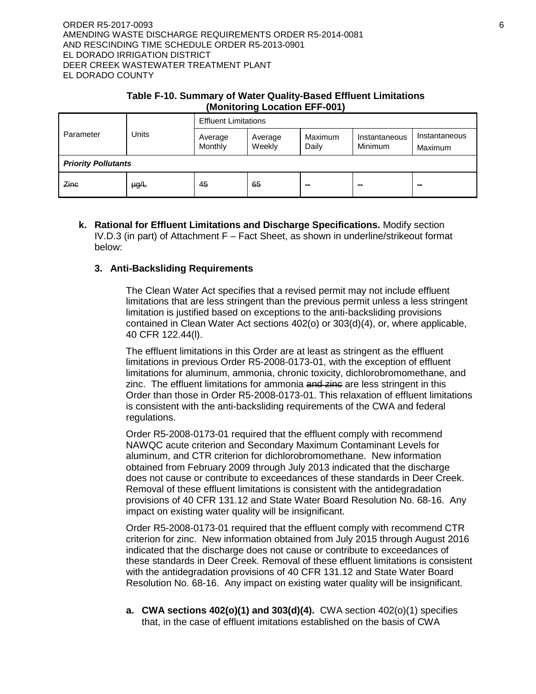#### ORDER R5-2017-0093 6 AMENDING WASTE DISCHARGE REQUIREMENTS ORDER R5-2014-0081 AND RESCINDING TIME SCHEDULE ORDER R5-2013-0901 EL DORADO IRRIGATION DISTRICT DEER CREEK WASTEWATER TREATMENT PLANT EL DORADO COUNTY

### **Table F-10. Summary of Water Quality-Based Effluent Limitations (Monitoring Location EFF-001)**

| Parameter                  | Units     | <b>Effluent Limitations</b> |                   |                  |                                 |                          |  |
|----------------------------|-----------|-----------------------------|-------------------|------------------|---------------------------------|--------------------------|--|
|                            |           | Average<br>Monthly          | Average<br>Weekly | Maximum<br>Daily | Instantaneous<br><b>Minimum</b> | Instantaneous<br>Maximum |  |
| <b>Priority Pollutants</b> |           |                             |                   |                  |                                 |                          |  |
| Zine                       | $\mu g/L$ | 45                          | 65                | $\sim$           | --                              | --                       |  |

**k. Rational for Effluent Limitations and Discharge Specifications.** Modify section IV.D.3 (in part) of Attachment F – Fact Sheet, as shown in underline/strikeout format below:

#### **3. Anti-Backsliding Requirements**

The Clean Water Act specifies that a revised permit may not include effluent limitations that are less stringent than the previous permit unless a less stringent limitation is justified based on exceptions to the anti-backsliding provisions contained in Clean Water Act sections 402(o) or 303(d)(4), or, where applicable, 40 CFR 122.44(l).

The effluent limitations in this Order are at least as stringent as the effluent limitations in previous Order R5-2008-0173-01, with the exception of effluent limitations for aluminum, ammonia, chronic toxicity, dichlorobromomethane, and zinc. The effluent limitations for ammonia and zine are less stringent in this Order than those in Order R5-2008-0173-01. This relaxation of effluent limitations is consistent with the anti-backsliding requirements of the CWA and federal regulations.

Order R5-2008-0173-01 required that the effluent comply with recommend NAWQC acute criterion and Secondary Maximum Contaminant Levels for aluminum, and CTR criterion for dichlorobromomethane. New information obtained from February 2009 through July 2013 indicated that the discharge does not cause or contribute to exceedances of these standards in Deer Creek. Removal of these effluent limitations is consistent with the antidegradation provisions of 40 CFR 131.12 and State Water Board Resolution No. 68-16. Any impact on existing water quality will be insignificant.

Order R5-2008-0173-01 required that the effluent comply with recommend CTR criterion for zinc. New information obtained from July 2015 through August 2016 indicated that the discharge does not cause or contribute to exceedances of these standards in Deer Creek. Removal of these effluent limitations is consistent with the antidegradation provisions of 40 CFR 131.12 and State Water Board Resolution No. 68-16. Any impact on existing water quality will be insignificant.

**a. CWA sections 402(o)(1) and 303(d)(4).** CWA section 402(o)(1) specifies that, in the case of effluent imitations established on the basis of CWA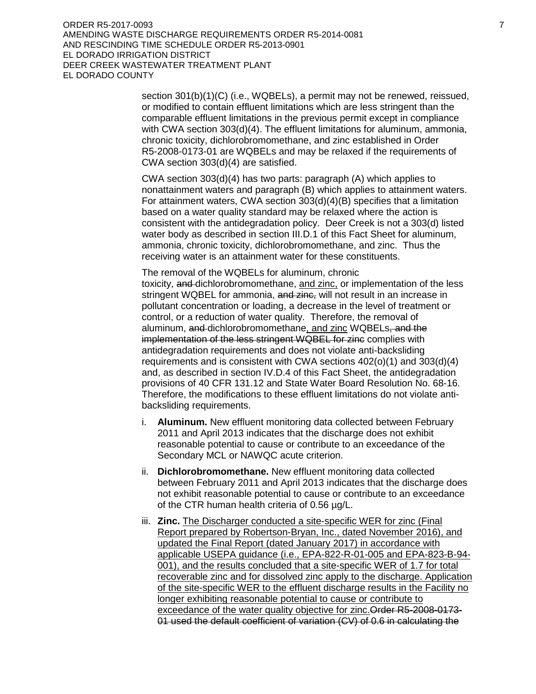ORDER R5-2017-0093 7 AMENDING WASTE DISCHARGE REQUIREMENTS ORDER R5-2014-0081 AND RESCINDING TIME SCHEDULE ORDER R5-2013-0901 EL DORADO IRRIGATION DISTRICT DEER CREEK WASTEWATER TREATMENT PLANT EL DORADO COUNTY

> section 301(b)(1)(C) (i.e., WQBELs), a permit may not be renewed, reissued, or modified to contain effluent limitations which are less stringent than the comparable effluent limitations in the previous permit except in compliance with CWA section 303(d)(4). The effluent limitations for aluminum, ammonia, chronic toxicity, dichlorobromomethane, and zinc established in Order R5-2008-0173-01 are WQBELs and may be relaxed if the requirements of CWA section 303(d)(4) are satisfied.

> CWA section 303(d)(4) has two parts: paragraph (A) which applies to nonattainment waters and paragraph (B) which applies to attainment waters. For attainment waters, CWA section 303(d)(4)(B) specifies that a limitation based on a water quality standard may be relaxed where the action is consistent with the antidegradation policy. Deer Creek is not a 303(d) listed water body as described in section III.D.1 of this Fact Sheet for aluminum, ammonia, chronic toxicity, dichlorobromomethane, and zinc. Thus the receiving water is an attainment water for these constituents.

> The removal of the WQBELs for aluminum, chronic toxicity, and dichlorobromomethane, and zinc, or implementation of the less stringent WQBEL for ammonia, and zinc, will not result in an increase in pollutant concentration or loading, a decrease in the level of treatment or control, or a reduction of water quality. Therefore, the removal of aluminum, and dichlorobromomethane, and zinc WQBELs, and the implementation of the less stringent WQBEL for zinc complies with antidegradation requirements and does not violate anti-backsliding requirements and is consistent with CWA sections 402(o)(1) and 303(d)(4) and, as described in section IV.D.4 of this Fact Sheet, the antidegradation provisions of 40 CFR 131.12 and State Water Board Resolution No. 68-16. Therefore, the modifications to these effluent limitations do not violate antibacksliding requirements.

- i. **Aluminum.** New effluent monitoring data collected between February 2011 and April 2013 indicates that the discharge does not exhibit reasonable potential to cause or contribute to an exceedance of the Secondary MCL or NAWQC acute criterion.
- ii. **Dichlorobromomethane.** New effluent monitoring data collected between February 2011 and April 2013 indicates that the discharge does not exhibit reasonable potential to cause or contribute to an exceedance of the CTR human health criteria of 0.56 µg/L.
- iii. **Zinc.** The Discharger conducted a site-specific WER for zinc (Final Report prepared by Robertson-Bryan, Inc., dated November 2016), and updated the Final Report (dated January 2017) in accordance with applicable USEPA guidance (i.e., EPA-822-R-01-005 and EPA-823-B-94- 001), and the results concluded that a site-specific WER of 1.7 for total recoverable zinc and for dissolved zinc apply to the discharge. Application of the site-specific WER to the effluent discharge results in the Facility no longer exhibiting reasonable potential to cause or contribute to exceedance of the water quality objective for zinc.Order R5-2008-0173- 01 used the default coefficient of variation (CV) of 0.6 in calculating the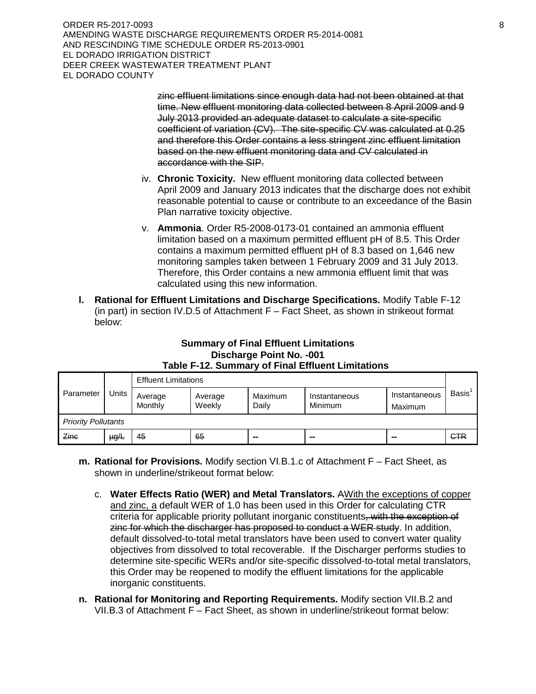ORDER R5-2017-0093 8 AMENDING WASTE DISCHARGE REQUIREMENTS ORDER R5-2014-0081 AND RESCINDING TIME SCHEDULE ORDER R5-2013-0901 EL DORADO IRRIGATION DISTRICT DEER CREEK WASTEWATER TREATMENT PLANT EL DORADO COUNTY

> zinc effluent limitations since enough data had not been obtained at that time. New effluent monitoring data collected between 8 April 2009 and 9 July 2013 provided an adequate dataset to calculate a site-specific coefficient of variation (CV). The site-specific CV was calculated at 0.25 and therefore this Order contains a less stringent zinc effluent limitation based on the new effluent monitoring data and CV calculated in accordance with the SIP.

- iv. **Chronic Toxicity.** New effluent monitoring data collected between April 2009 and January 2013 indicates that the discharge does not exhibit reasonable potential to cause or contribute to an exceedance of the Basin Plan narrative toxicity objective.
- v. **Ammonia**. Order R5-2008-0173-01 contained an ammonia effluent limitation based on a maximum permitted effluent pH of 8.5. This Order contains a maximum permitted effluent pH of 8.3 based on 1,646 new monitoring samples taken between 1 February 2009 and 31 July 2013. Therefore, this Order contains a new ammonia effluent limit that was calculated using this new information.
- **l. Rational for Effluent Limitations and Discharge Specifications.** Modify Table F-12 (in part) in section IV.D.5 of Attachment F – Fact Sheet, as shown in strikeout format below:

# **Summary of Final Effluent Limitations Discharge Point No. -001 Table F-12. Summary of Final Effluent Limitations**

| Parameter                  |           | <b>Effluent Limitations</b> |                   |                  |                                 |                          |              |
|----------------------------|-----------|-----------------------------|-------------------|------------------|---------------------------------|--------------------------|--------------|
|                            | Units     | Average<br>Monthly          | Average<br>Weekly | Maximum<br>Daily | Instantaneous<br><b>Minimum</b> | Instantaneous<br>Maximum | <b>Basis</b> |
| <b>Priority Pollutants</b> |           |                             |                   |                  |                                 |                          |              |
| Zinc                       | $\mu g/L$ | 45                          | 65                | <b>ALC: Y</b>    | <b>COL</b>                      | -                        | <b>CTR</b>   |

- **m. Rational for Provisions.** Modify section VI.B.1.c of Attachment F Fact Sheet, as shown in underline/strikeout format below:
	- c. **Water Effects Ratio (WER) and Metal Translators.** AWith the exceptions of copper and zinc, a default WER of 1.0 has been used in this Order for calculating CTR criteria for applicable priority pollutant inorganic constituents, with the exception of zinc for which the discharger has proposed to conduct a WER study. In addition, default dissolved-to-total metal translators have been used to convert water quality objectives from dissolved to total recoverable. If the Discharger performs studies to determine site-specific WERs and/or site-specific dissolved-to-total metal translators, this Order may be reopened to modify the effluent limitations for the applicable inorganic constituents.
- **n. Rational for Monitoring and Reporting Requirements.** Modify section VII.B.2 and VII.B.3 of Attachment F – Fact Sheet, as shown in underline/strikeout format below: